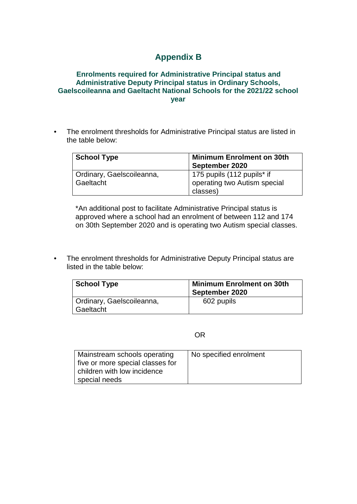## **Appendix B**

## **Enrolments required for Administrative Principal status and Administrative Deputy Principal status in Ordinary Schools, Gaelscoileanna and Gaeltacht National Schools for the 2021/22 school year**

• The enrolment thresholds for Administrative Principal status are listed in the table below:

| <b>School Type</b>        | <b>Minimum Enrolment on 30th</b><br>September 2020 |
|---------------------------|----------------------------------------------------|
| Ordinary, Gaelscoileanna, | 175 pupils (112 pupils* if                         |
| Gaeltacht                 | operating two Autism special                       |
|                           | classes)                                           |

\*An additional post to facilitate Administrative Principal status is approved where a school had an enrolment of between 112 and 174 on 30th September 2020 and is operating two Autism special classes.

• The enrolment thresholds for Administrative Deputy Principal status are listed in the table below:

| <b>School Type</b>        | <b>Minimum Enrolment on 30th</b><br>September 2020 |
|---------------------------|----------------------------------------------------|
| Ordinary, Gaelscoileanna, | 602 pupils                                         |
| Gaeltacht                 |                                                    |

OR

| Mainstream schools operating     | No specified enrolment |
|----------------------------------|------------------------|
| five or more special classes for |                        |
| children with low incidence      |                        |
| special needs                    |                        |